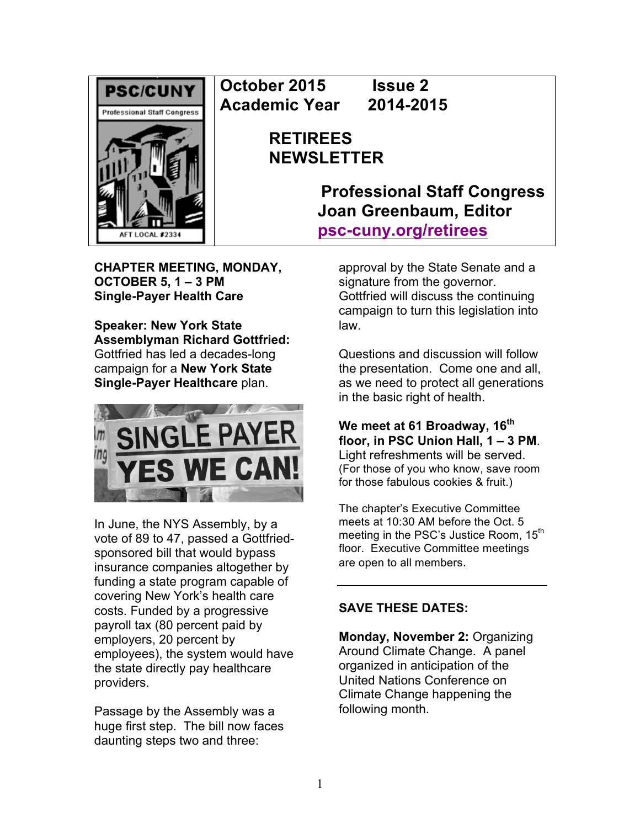

**October 2015 Issue 2 Academic Year 2014-2015**

> **RETIREES NEWSLETTER**

> > **Professional Staff Congress Joan Greenbaum, Editor psc-cuny.org/retirees**

**CHAPTER MEETING, MONDAY, OCTOBER 5, 1 – 3 PM Single-Payer Health Care**

**Speaker: New York State Assemblyman Richard Gottfried:**  Gottfried has led a decades-long campaign for a **New York State Single-Payer Healthcare** plan.



In June, the NYS Assembly, by a vote of 89 to 47, passed a Gottfriedsponsored bill that would bypass insurance companies altogether by funding a state program capable of covering New York's health care costs. Funded by a progressive payroll tax (80 percent paid by employers, 20 percent by employees), the system would have the state directly pay healthcare providers.

Passage by the Assembly was a huge first step. The bill now faces daunting steps two and three:

approval by the State Senate and a signature from the governor. Gottfried will discuss the continuing campaign to turn this legislation into law.

Questions and discussion will follow the presentation. Come one and all, as we need to protect all generations in the basic right of health.

**We meet at 61 Broadway, 16th floor, in PSC Union Hall, 1 – 3 PM**. Light refreshments will be served. (For those of you who know, save room for those fabulous cookies & fruit.)

The chapter's Executive Committee meets at 10:30 AM before the Oct. 5 meeting in the PSC's Justice Room, 15<sup>th</sup> floor. Executive Committee meetings are open to all members.

# **SAVE THESE DATES:**

**Monday, November 2:** Organizing Around Climate Change. A panel organized in anticipation of the United Nations Conference on Climate Change happening the following month.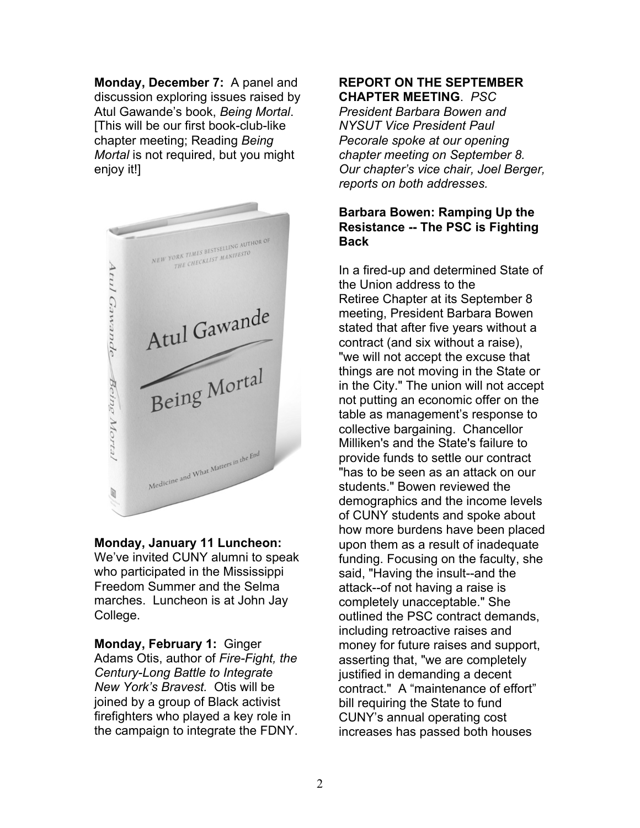**Monday, December 7:** A panel and discussion exploring issues raised by Atul Gawande's book, *Being Mortal*. [This will be our first book-club-like chapter meeting; Reading *Being Mortal* is not required, but you might enjoy it!]



### **Monday, January 11 Luncheon:**

We've invited CUNY alumni to speak who participated in the Mississippi Freedom Summer and the Selma marches. Luncheon is at John Jay College.

**Monday, February 1:** Ginger Adams Otis, author of *Fire-Fight, the Century-Long Battle to Integrate New York's Bravest.* Otis will be joined by a group of Black activist firefighters who played a key role in the campaign to integrate the FDNY.

#### **REPORT ON THE SEPTEMBER CHAPTER MEETING**. *PSC*

*President Barbara Bowen and NYSUT Vice President Paul Pecorale spoke at our opening chapter meeting on September 8. Our chapter's vice chair, Joel Berger, reports on both addresses.*

# **Barbara Bowen: Ramping Up the Resistance -- The PSC is Fighting Back**

In a fired-up and determined State of the Union address to the Retiree Chapter at its September 8 meeting, President Barbara Bowen stated that after five years without a contract (and six without a raise), "we will not accept the excuse that things are not moving in the State or in the City." The union will not accept not putting an economic offer on the table as management's response to collective bargaining. Chancellor Milliken's and the State's failure to provide funds to settle our contract "has to be seen as an attack on our students." Bowen reviewed the demographics and the income levels of CUNY students and spoke about how more burdens have been placed upon them as a result of inadequate funding. Focusing on the faculty, she said, "Having the insult--and the attack--of not having a raise is completely unacceptable." She outlined the PSC contract demands, including retroactive raises and money for future raises and support, asserting that, "we are completely justified in demanding a decent contract." A "maintenance of effort" bill requiring the State to fund CUNY's annual operating cost increases has passed both houses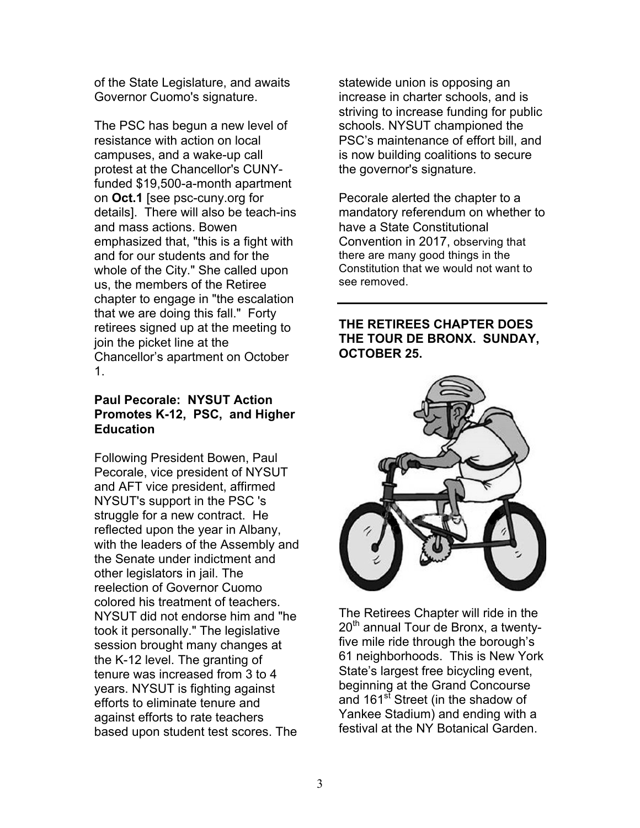of the State Legislature, and awaits Governor Cuomo's signature.

The PSC has begun a new level of resistance with action on local campuses, and a wake-up call protest at the Chancellor's CUNYfunded \$19,500-a-month apartment on **Oct.1** [see psc-cuny.org for details]. There will also be teach-ins and mass actions. Bowen emphasized that, "this is a fight with and for our students and for the whole of the City." She called upon us, the members of the Retiree chapter to engage in "the escalation that we are doing this fall." Forty retirees signed up at the meeting to join the picket line at the Chancellor's apartment on October 1.

# **Paul Pecorale: NYSUT Action Promotes K-12, PSC, and Higher Education**

Following President Bowen, Paul Pecorale, vice president of NYSUT and AFT vice president, affirmed NYSUT's support in the PSC 's struggle for a new contract. He reflected upon the year in Albany, with the leaders of the Assembly and the Senate under indictment and other legislators in jail. The reelection of Governor Cuomo colored his treatment of teachers. NYSUT did not endorse him and "he took it personally." The legislative session brought many changes at the K-12 level. The granting of tenure was increased from 3 to 4 years. NYSUT is fighting against efforts to eliminate tenure and against efforts to rate teachers based upon student test scores. The

statewide union is opposing an increase in charter schools, and is striving to increase funding for public schools. NYSUT championed the PSC's maintenance of effort bill, and is now building coalitions to secure the governor's signature.

Pecorale alerted the chapter to a mandatory referendum on whether to have a State Constitutional Convention in 2017, observing that there are many good things in the Constitution that we would not want to see removed.

# **THE RETIREES CHAPTER DOES THE TOUR DE BRONX. SUNDAY, OCTOBER 25.**



The Retirees Chapter will ride in the  $20<sup>th</sup>$  annual Tour de Bronx, a twentyfive mile ride through the borough's 61 neighborhoods. This is New York State's largest free bicycling event, beginning at the Grand Concourse and 161<sup>st</sup> Street (in the shadow of Yankee Stadium) and ending with a festival at the NY Botanical Garden.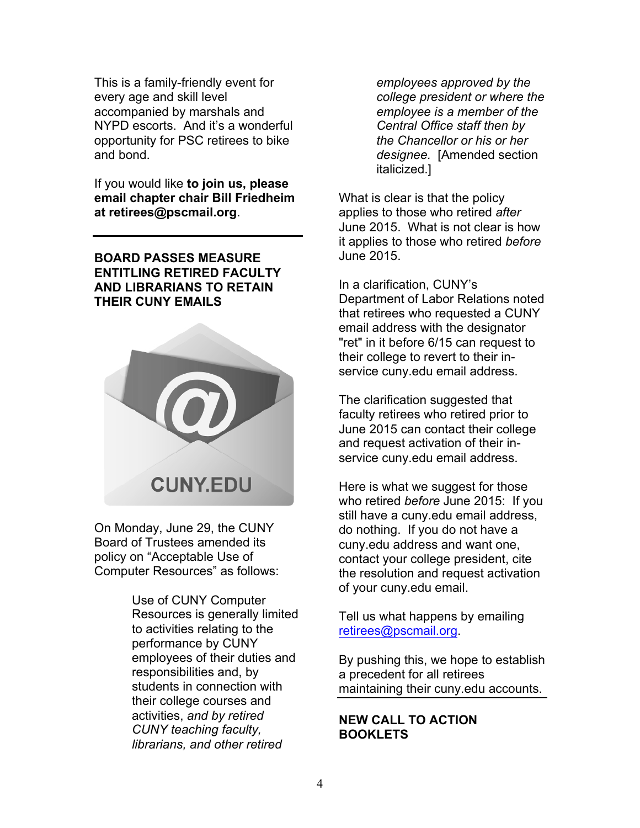This is a family-friendly event for every age and skill level accompanied by marshals and NYPD escorts. And it's a wonderful opportunity for PSC retirees to bike and bond.

If you would like **to join us, please email chapter chair Bill Friedheim at retirees@pscmail.org**.

**BOARD PASSES MEASURE ENTITLING RETIRED FACULTY AND LIBRARIANS TO RETAIN THEIR CUNY EMAILS**



On Monday, June 29, the CUNY Board of Trustees amended its policy on "Acceptable Use of Computer Resources" as follows:

> Use of CUNY Computer Resources is generally limited to activities relating to the performance by CUNY employees of their duties and responsibilities and, by students in connection with their college courses and activities, *and by retired CUNY teaching faculty, librarians, and other retired*

*employees approved by the college president or where the employee is a member of the Central Office staff then by the Chancellor or his or her designee.* [Amended section italicized.]

What is clear is that the policy applies to those who retired *after* June 2015. What is not clear is how it applies to those who retired *before* June 2015.

In a clarification, CUNY's Department of Labor Relations noted that retirees who requested a CUNY email address with the designator "ret" in it before 6/15 can request to their college to revert to their inservice cuny.edu email address.

The clarification suggested that faculty retirees who retired prior to June 2015 can contact their college and request activation of their inservice cuny.edu email address.

Here is what we suggest for those who retired *before* June 2015: If you still have a cuny.edu email address, do nothing. If you do not have a cuny.edu address and want one, contact your college president, cite the resolution and request activation of your cuny.edu email.

Tell us what happens by emailing retirees@pscmail.org.

By pushing this, we hope to establish a precedent for all retirees maintaining their cuny.edu accounts.

**NEW CALL TO ACTION BOOKLETS**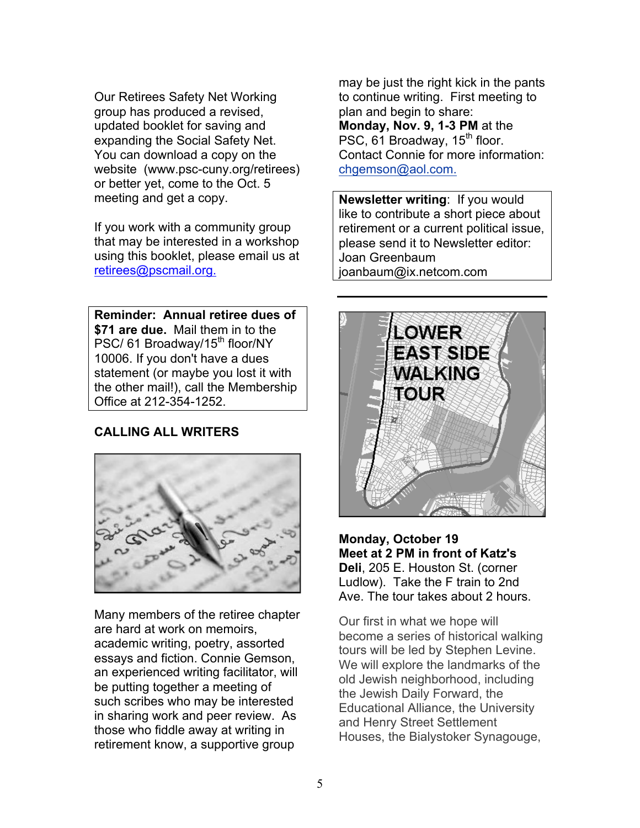Our Retirees Safety Net Working group has produced a revised, updated booklet for saving and expanding the Social Safety Net. You can download a copy on the website (www.psc-cuny.org/retirees) or better yet, come to the Oct. 5 meeting and get a copy.

If you work with a community group that may be interested in a workshop using this booklet, please email us at retirees@pscmail.org.

**Reminder: Annual retiree dues of \$71 are due.** Mail them in to the PSC/ 61 Broadway/15<sup>th</sup> floor/NY 10006. If you don't have a dues statement (or maybe you lost it with the other mail!), call the Membership Office at 212-354-1252.

# **CALLING ALL WRITERS**



Many members of the retiree chapter are hard at work on memoirs, academic writing, poetry, assorted essays and fiction. Connie Gemson, an experienced writing facilitator, will be putting together a meeting of such scribes who may be interested in sharing work and peer review. As those who fiddle away at writing in retirement know, a supportive group

may be just the right kick in the pants to continue writing. First meeting to plan and begin to share: **Monday, Nov. 9, 1-3 PM** at the PSC, 61 Broadway, 15<sup>th</sup> floor. Contact Connie for more information: chgemson@aol.com.

**Newsletter writing**: If you would like to contribute a short piece about retirement or a current political issue, please send it to Newsletter editor: Joan Greenbaum joanbaum@ix.netcom.com



**Monday, October 19 Meet at 2 PM in front of Katz's Deli**, 205 E. Houston St. (corner Ludlow). Take the F train to 2nd Ave. The tour takes about 2 hours.

Our first in what we hope will become a series of historical walking tours will be led by Stephen Levine. We will explore the landmarks of the old Jewish neighborhood, including the Jewish Daily Forward, the Educational Alliance, the University and Henry Street Settlement Houses, the Bialystoker Synagouge,